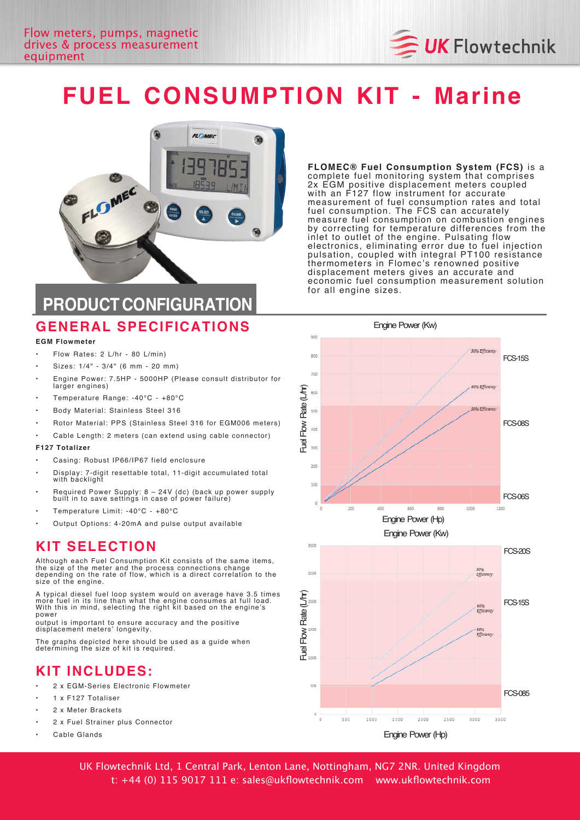

# **FUEL CONSUMPTION KIT - Marine**



**PRODUCT CONFIGURATION**

### **GENERAL SPECIFICATIONS**

#### **EGM Flowmeter**

- $Flow$  Rates:  $2$  L/hr 80 L/min)
- Sizes:  $1/4" 3/4"$  (6 mm 20 mm)
- Engine Power: 7.5HP 5000HP (Please consult distributor for larger engines)
- Temperature Range: -40°C +80°C
- Body Material: Stainless Steel 316
- Rotor Material: PPS (Stainless Steel 316 for EGM006 meters)
- Cable Length: 2 meters (can extend using cable connector)

#### **F127 Totalizer**

- Casing: Robust IP66/IP67 field enclosure
- Display: 7-digit resettable total, 11-digit accumulated total with backlight
- Required Power Supply: 8 24V (dc) (back up power supply<br>built in to save settings in case of power failure)
- Temperature Limit: -40°C +80°C
- Output Options: 4-20mA and pulse output available

#### **KIT SELECTION**

Although each Fuel Consumption Kit consists of the same items, the size of the meter and the process connections change<br>depending on the rate of flow, which is a direct correlation to the size of the engine.

A typical diesel fuel loop system would on average have 3.5 times<br>more fuel in its line than what the engine consumes at full load. With this in mind, selecting the right kit based on the engine's power

output is important to ensure accuracy and the positive<br>displacement meters' longevity.

The graphs depicted here should be used as a guide when determining the size of kit is required.

#### **KIT INCLUDES :**

- 2 x EGM-Series Electronic Flowmeter
- 1 x F127 Totaliser
- 2 x Meter Brackets
- 2 x Fuel Strainer plus Connector
- Cable Glande

FLOMEC® Fuel Consumption System (FCS) is a complete fuel monitoring system that comprises 2x EGM positive displacement meters coupled with an F127 flow instrument for accurate measurement of fuel consumption rates and total monder consumption. The FCS can accurately measure fuel consumption on combustion engines by correcting for temperature differences from the inlet to outlet of the engine. Pulsating flow electronics, eliminating error due to fuel injection pulsation, coupled with integral PT100 resistance thermometers in Flomec's renowned positive displacement meters gives an accurate and economic fuel consumption measurement solution for all engine sizes.



UK Flowtechnik Ltd, 1 Central Park, Lenton Lane, Nottingham, NG7 2NR. United Kingdom t: +44 (0) 115 9017 111 e: sales@ukflowtechnik.com www.ukflowtechnik.com